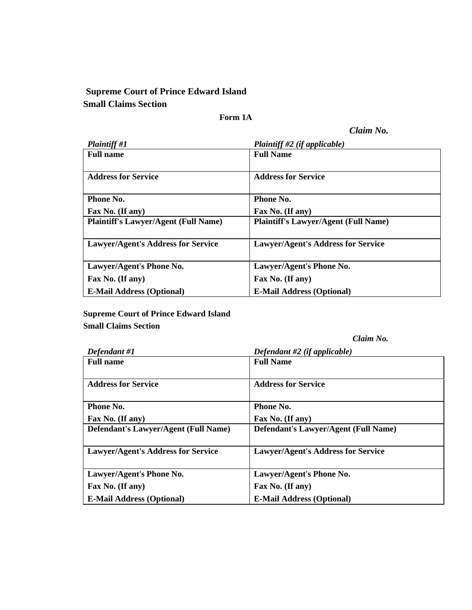## **Supreme Court of Prince Edward Island Small Claims Section**

## **Form 1A**

*Claim No.* 

| <b>Plaintiff #1</b>                         | Plaintiff #2 (if applicable)                |
|---------------------------------------------|---------------------------------------------|
| <b>Full name</b>                            | <b>Full Name</b>                            |
|                                             |                                             |
| <b>Address for Service</b>                  | <b>Address for Service</b>                  |
|                                             |                                             |
| Phone No.                                   | <b>Phone No.</b>                            |
| Fax No. (If any)                            | Fax No. (If any)                            |
| <b>Plaintiff's Lawyer/Agent (Full Name)</b> | <b>Plaintiff's Lawyer/Agent (Full Name)</b> |
|                                             |                                             |
| <b>Lawyer/Agent's Address for Service</b>   | <b>Lawyer/Agent's Address for Service</b>   |
|                                             |                                             |
| Lawyer/Agent's Phone No.                    | Lawyer/Agent's Phone No.                    |
| Fax No. (If any)                            | Fax No. (If any)                            |
| <b>E-Mail Address (Optional)</b>            | <b>E-Mail Address (Optional)</b>            |

**Supreme Court of Prince Edward Island Small Claims Section** 

*Claim No.*

| Defendant #1                                | Defendant #2 (if applicable)                |
|---------------------------------------------|---------------------------------------------|
| <b>Full name</b>                            | <b>Full Name</b>                            |
|                                             |                                             |
| <b>Address for Service</b>                  | <b>Address for Service</b>                  |
|                                             |                                             |
| Phone No.                                   | Phone No.                                   |
| Fax No. (If any)                            | Fax No. (If any)                            |
| <b>Defendant's Lawyer/Agent (Full Name)</b> | <b>Defendant's Lawyer/Agent (Full Name)</b> |
|                                             |                                             |
| <b>Lawyer/Agent's Address for Service</b>   | <b>Lawyer/Agent's Address for Service</b>   |
|                                             |                                             |
| Lawyer/Agent's Phone No.                    | Lawyer/Agent's Phone No.                    |
| Fax No. (If any)                            | Fax No. (If any)                            |
| <b>E-Mail Address (Optional)</b>            | <b>E-Mail Address (Optional)</b>            |